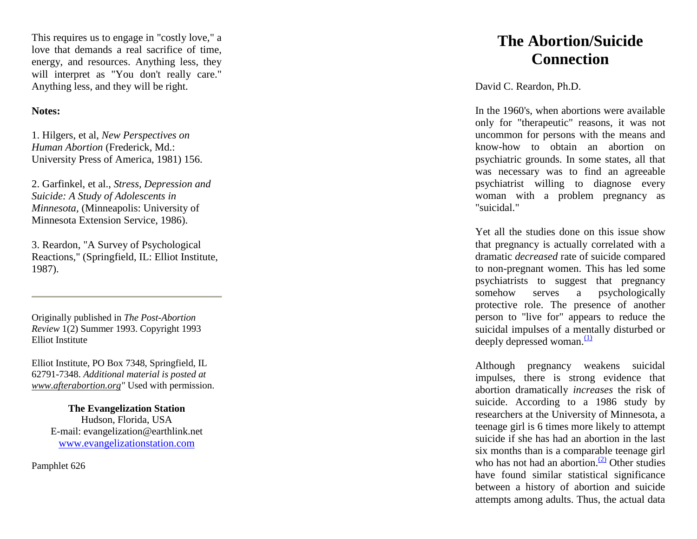This requires us to engage in "costly love," a love that demands a real sacrifice of time, energy, and resources. Anything less, they will interpret as "You don't really care." Anything less, and they will be right.

## **Notes:**

1. Hilgers, et al, *New Perspectives on Human Abortion* (Frederick, Md.: University Press of America, 1981) 156.

2. Garfinkel, et al., *Stress, Depression and Suicide: A Study of Adolescents in Minnesota,* (Minneapolis: University of Minnesota Extension Service, 1986).

3. Reardon, "A Survey of Psychological Reactions," (Springfield, IL: Elliot Institute, 1987).

Originally published in *The Post -Abortion Review* 1(2) Summer 1993. Copyright 1993 Elliot Institute

Elliot Institute, PO Box 7348, Springfield, IL 62791 -7348. *Additional material is posted at [www.afterabortion.org"](http://www.afterabortion.org/)* Used with permission.

> **The Evangelization Station** Hudson, Florida, USA E -mail: evangelization@earthlink.net [www.evangelizationstation.com](http://www.pjpiisoe.org/)

Pamphlet 626

## **The Abortion/Suicide Connection**

David C. Reardon, Ph.D.

In the 1960's, when abortions were available only for "therapeutic" reasons, it was not uncommon for persons with the means and know -how to obtain an abortion on psychiatric grounds. In some states, all that was necessary was to find an agreeable psychiatrist willing to diagnose every woman with a problem pregnancy as "suicidal."

Yet all the studies done on this issue show that pregnancy is actually correlated with a dramatic *decreased* rate of suicide compared to non -pregnant women. This has led some psychiatrists to suggest that pregnancy somehow serves a psychologically protective role. The presence of another person to "live for" appears to reduce the suicidal impulses of a mentally disturbed or deeply depressed woman. $(1)$ 

Although pregnancy weakens suicidal impulses, there is strong evidence that abortion dramatically *increases* the risk of suicide. According to a 1986 study by researchers at the University of Minnesota, a teenage girl is 6 times more likely to attempt suicide if she has had an abortion in the last six months than is a comparable teenage girl who has not had an abortion. $(2)$  Other studies have found similar statistical significance between a history of abortion and suicide attempts among adults. Thus, the actual data